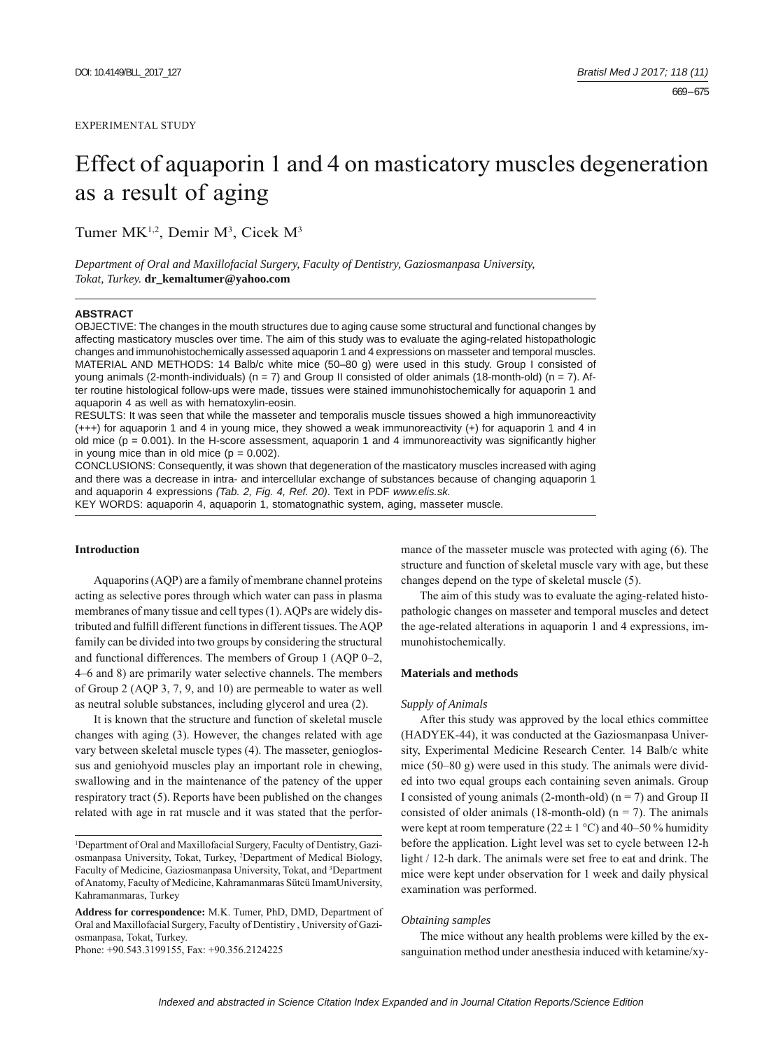# Effect of aquaporin 1 and 4 on masticatory muscles degeneration as a result of aging

Tumer MK<sup>1,2</sup>, Demir M<sup>3</sup>, Cicek M<sup>3</sup>

*Department of Oral and Maxillofacial Surgery, Faculty of Dentistry, Gaziosmanpasa University, Tokat, Turkey.* **dr\_kemaltumer@yahoo.com**

## **ABSTRACT**

OBJECTIVE: The changes in the mouth structures due to aging cause some structural and functional changes by affecting masticatory muscles over time. The aim of this study was to evaluate the aging-related histopathologic changes and immunohistochemically assessed aquaporin 1 and 4 expressions on masseter and temporal muscles. MATERIAL AND METHODS: 14 Balb/c white mice (50–80 g) were used in this study. Group I consisted of young animals (2-month-individuals) ( $n = 7$ ) and Group II consisted of older animals (18-month-old) ( $n = 7$ ). After routine histological follow-ups were made, tissues were stained immunohistochemically for aquaporin 1 and aquaporin 4 as well as with hematoxylin-eosin.

RESULTS: It was seen that while the masseter and temporalis muscle tissues showed a high immunoreactivity (+++) for aquaporin 1 and 4 in young mice, they showed a weak immunoreactivity (+) for aquaporin 1 and 4 in old mice ( $p = 0.001$ ). In the H-score assessment, aquaporin 1 and 4 immunoreactivity was significantly higher in young mice than in old mice  $(p = 0.002)$ .

CONCLUSIONS: Consequently, it was shown that degeneration of the masticatory muscles increased with aging and there was a decrease in intra- and intercellular exchange of substances because of changing aquaporin 1 and aquaporin 4 expressions *(Tab. 2, Fig. 4, Ref. 20)*. Text in PDF *www.elis.sk.*

KEY WORDS: aquaporin 4, aquaporin 1, stomatognathic system, aging, masseter muscle.

# **Introduction**

Aquaporins (AQP) are a family of membrane channel proteins acting as selective pores through which water can pass in plasma membranes of many tissue and cell types (1). AQPs are widely distributed and fulfill different functions in different tissues. The AQP family can be divided into two groups by considering the structural and functional differences. The members of Group 1 (AQP 0–2, 4–6 and 8) are primarily water selective channels. The members of Group 2 (AQP 3, 7, 9, and 10) are permeable to water as well as neutral soluble substances, including glycerol and urea (2).

It is known that the structure and function of skeletal muscle changes with aging (3). However, the changes related with age vary between skeletal muscle types (4). The masseter, genioglossus and geniohyoid muscles play an important role in chewing, swallowing and in the maintenance of the patency of the upper respiratory tract (5). Reports have been published on the changes related with age in rat muscle and it was stated that the perfor-

Phone: +90.543.3199155, Fax: +90.356.2124225

mance of the masseter muscle was protected with aging (6). The structure and function of skeletal muscle vary with age, but these changes depend on the type of skeletal muscle (5).

The aim of this study was to evaluate the aging-related histopathologic changes on masseter and temporal muscles and detect the age-related alterations in aquaporin 1 and 4 expressions, immunohistochemically.

# **Materials and methods**

## *Supply of Animals*

After this study was approved by the local ethics committee (HADYEK-44), it was conducted at the Gaziosmanpasa University, Experimental Medicine Research Center. 14 Balb/c white mice (50–80 g) were used in this study. The animals were divided into two equal groups each containing seven animals. Group I consisted of young animals (2-month-old) ( $n = 7$ ) and Group II consisted of older animals (18-month-old) ( $n = 7$ ). The animals were kept at room temperature ( $22 \pm 1$  °C) and 40–50 % humidity before the application. Light level was set to cycle between 12-h light / 12-h dark. The animals were set free to eat and drink. The mice were kept under observation for 1 week and daily physical examination was performed.

## *Obtaining samples*

The mice without any health problems were killed by the exsanguination method under anesthesia induced with ketamine/xy-

<sup>&</sup>lt;sup>1</sup>Department of Oral and Maxillofacial Surgery, Faculty of Dentistry, Gaziosmanpasa University, Tokat, Turkey, 2 Department of Medical Biology, Faculty of Medicine, Gaziosmanpasa University, Tokat, and <sup>3</sup>Department of Anatomy, Faculty of Medicine, Kahramanmaras Sütcü ImamUniversity, Kahramanmaras, Turkey

**Address for correspondence:** M.K. Tumer, PhD, DMD, Department of Oral and Maxillofacial Surgery, Faculty of Dentistiry , University of Gaziosmanpasa, Tokat, Turkey.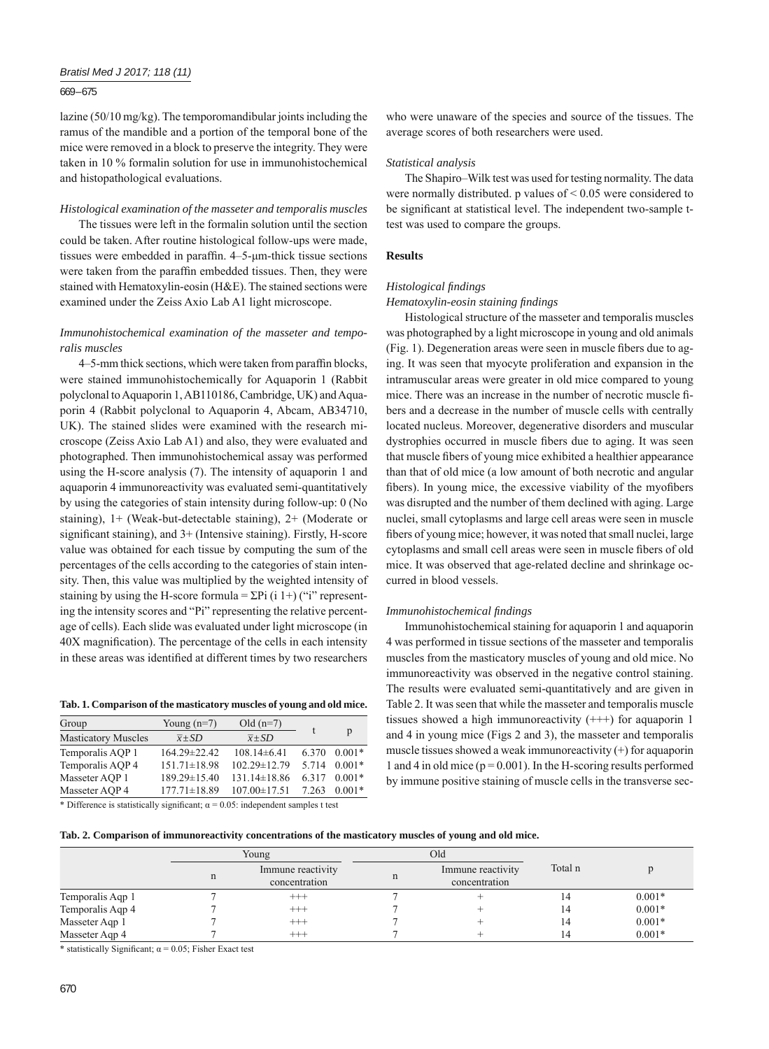## *Bratisl Med J 2017; 118 (11)*

## 669 – 675

lazine (50/10 mg/kg). The temporomandibular joints including the ramus of the mandible and a portion of the temporal bone of the mice were removed in a block to preserve the integrity. They were taken in 10 % formalin solution for use in immunohistochemical and histopathological evaluations.

## *Histological examination of the masseter and temporalis muscles*

The tissues were left in the formalin solution until the section could be taken. After routine histological follow-ups were made, tissues were embedded in paraffin.  $4-5$ - $\mu$ m-thick tissue sections were taken from the paraffin embedded tissues. Then, they were stained with Hematoxylin-eosin (H&E). The stained sections were examined under the Zeiss Axio Lab A1 light microscope.

# *Immunohistochemical examination of the masseter and temporalis muscles*

4–5-mm thick sections, which were taken from paraffin blocks, were stained immunohistochemically for Aquaporin 1 (Rabbit polyclonal to Aquaporin 1, AB110186, Cambridge, UK) and Aquaporin 4 (Rabbit polyclonal to Aquaporin 4, Abcam, AB34710, UK). The stained slides were examined with the research microscope (Zeiss Axio Lab A1) and also, they were evaluated and photographed. Then immunohistochemical assay was performed using the H-score analysis (7). The intensity of aquaporin 1 and aquaporin 4 immunoreactivity was evaluated semi-quantitatively by using the categories of stain intensity during follow-up: 0 (No staining), 1+ (Weak-but-detectable staining), 2+ (Moderate or significant staining), and 3+ (Intensive staining). Firstly, H-score value was obtained for each tissue by computing the sum of the percentages of the cells according to the categories of stain intensity. Then, this value was multiplied by the weighted intensity of staining by using the H-score formula =  $\Sigma$ Pi (i 1+) ("i" representing the intensity scores and "Pi" representing the relative percentage of cells). Each slide was evaluated under light microscope (in 40X magnification). The percentage of the cells in each intensity in these areas was identified at different times by two researchers

**Tab. 1. Comparison of the masticatory muscles of young and old mice.**

| Group                              | Young $(n=7)$       | Old $(n=7)$         |         |          |
|------------------------------------|---------------------|---------------------|---------|----------|
| <b>Masticatory Muscles</b>         | $\overline{x}$ + SD | $\overline{x}$ + SD |         | p        |
| Temporalis AOP 1                   | 164.29±22.42        | $108.14\pm 6.41$    | 6.370   | $0.001*$ |
| Temporalis AOP 4                   | $151.71\pm18.98$    | $102.29 \pm 12.79$  | 5 7 1 4 | $0.001*$ |
| Masseter AOP 1                     | 189.29±15.40        | $131.14 \pm 18.86$  | 6.317   | $0.001*$ |
| Masseter AOP 4                     | $177.71 \pm 18.89$  | $107.00 \pm 17.51$  | 7.263   | $0.001*$ |
| $\sim$ $\sim$ $\sim$ $\sim$ $\sim$ |                     |                     |         |          |

\* Difference is statistically significant;  $\alpha = 0.05$ : independent samples t test

who were unaware of the species and source of the tissues. The average scores of both researchers were used.

## *Statistical analysis*

The Shapiro–Wilk test was used for testing normality. The data were normally distributed. p values of < 0.05 were considered to be significant at statistical level. The independent two-sample ttest was used to compare the groups.

## **Results**

## *Histological fi ndings*

## *Hematoxylin-eosin staining fi ndings*

Histological structure of the masseter and temporalis muscles was photographed by a light microscope in young and old animals  $(Fig. 1)$ . Degeneration areas were seen in muscle fibers due to aging. It was seen that myocyte proliferation and expansion in the intramuscular areas were greater in old mice compared to young mice. There was an increase in the number of necrotic muscle fibers and a decrease in the number of muscle cells with centrally located nucleus. Moreover, degenerative disorders and muscular dystrophies occurred in muscle fibers due to aging. It was seen that muscle fibers of young mice exhibited a healthier appearance than that of old mice (a low amount of both necrotic and angular fibers). In young mice, the excessive viability of the myofibers was disrupted and the number of them declined with aging. Large nuclei, small cytoplasms and large cell areas were seen in muscle fibers of young mice; however, it was noted that small nuclei, large cytoplasms and small cell areas were seen in muscle fibers of old mice. It was observed that age-related decline and shrinkage occurred in blood vessels.

## *Immunohistochemical fi ndings*

Immunohistochemical staining for aquaporin 1 and aquaporin 4 was performed in tissue sections of the masseter and temporalis muscles from the masticatory muscles of young and old mice. No immunoreactivity was observed in the negative control staining. The results were evaluated semi-quantitatively and are given in Table 2. It was seen that while the masseter and temporalis muscle tissues showed a high immunoreactivity  $(++)$  for aquaporin 1 and 4 in young mice (Figs 2 and 3), the masseter and temporalis muscle tissues showed a weak immunoreactivity (+) for aquaporin 1 and 4 in old mice ( $p = 0.001$ ). In the H-scoring results performed by immune positive staining of muscle cells in the transverse sec-

|  |  |  |  | Tab. 2. Comparison of immunoreactivity concentrations of the masticatory muscles of young and old mice. |  |  |  |  |
|--|--|--|--|---------------------------------------------------------------------------------------------------------|--|--|--|--|
|--|--|--|--|---------------------------------------------------------------------------------------------------------|--|--|--|--|

|                  | Young |                                    | Old |                                    |         |          |
|------------------|-------|------------------------------------|-----|------------------------------------|---------|----------|
|                  |       | Immune reactivity<br>concentration | n   | Immune reactivity<br>concentration | Total n |          |
| Temporalis Aqp 1 |       | $^{+++}$                           |     |                                    |         | $0.001*$ |
| Temporalis Aqp 4 |       | $^{+++}$                           |     |                                    |         | $0.001*$ |
| Masseter Aqp 1   |       | $^{+++}$                           |     |                                    |         | $0.001*$ |
| Masseter Aqp 4   |       | $^{+++}$                           |     |                                    |         | $0.001*$ |

\* statistically Significant;  $\alpha = 0.05$ ; Fisher Exact test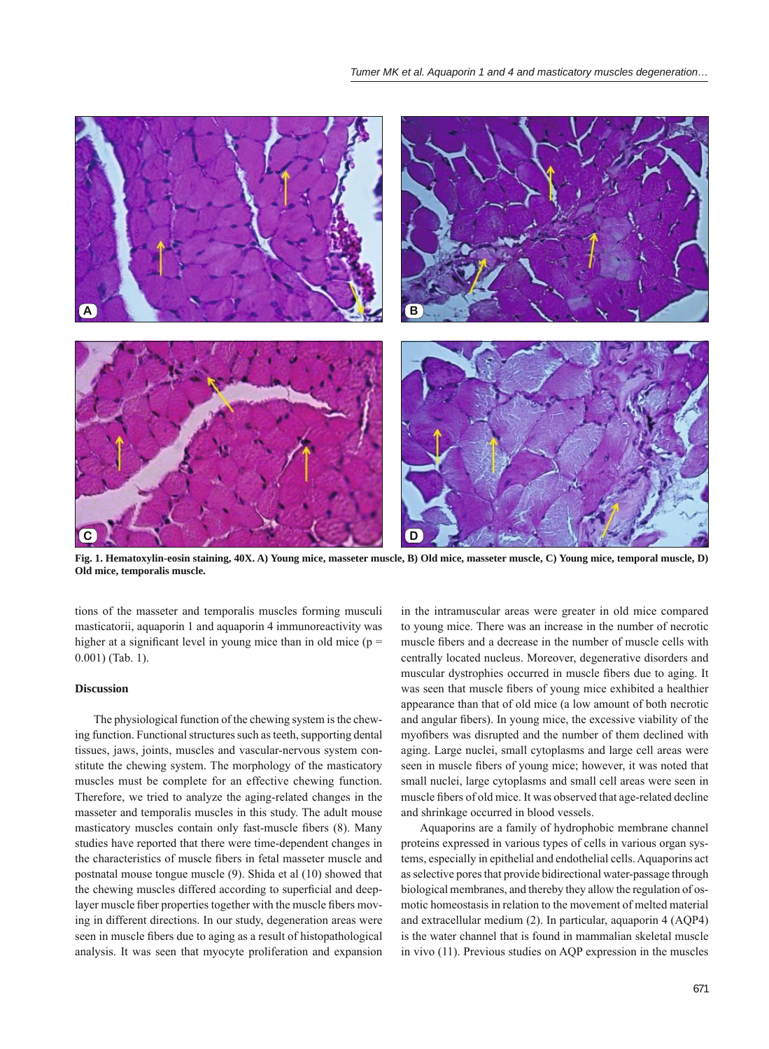

**Fig. 1. Hematoxylin-eosin staining, 40X. A) Young mice, masseter muscle, B) Old mice, masseter muscle, C) Young mice, temporal muscle, D) Old mice, temporalis muscle.**

tions of the masseter and temporalis muscles forming musculi masticatorii, aquaporin 1 and aquaporin 4 immunoreactivity was higher at a significant level in young mice than in old mice ( $p =$ 0.001) (Tab. 1).

## **Discussion**

The physiological function of the chewing system is the chewing function. Functional structures such as teeth, supporting dental tissues, jaws, joints, muscles and vascular-nervous system constitute the chewing system. The morphology of the masticatory muscles must be complete for an effective chewing function. Therefore, we tried to analyze the aging-related changes in the masseter and temporalis muscles in this study. The adult mouse masticatory muscles contain only fast-muscle fibers (8). Many studies have reported that there were time-dependent changes in the characteristics of muscle fibers in fetal masseter muscle and postnatal mouse tongue muscle (9). Shida et al (10) showed that the chewing muscles differed according to superficial and deeplayer muscle fiber properties together with the muscle fibers moving in different directions. In our study, degeneration areas were seen in muscle fibers due to aging as a result of histopathological analysis. It was seen that myocyte proliferation and expansion

in the intramuscular areas were greater in old mice compared to young mice. There was an increase in the number of necrotic muscle fibers and a decrease in the number of muscle cells with centrally located nucleus. Moreover, degenerative disorders and muscular dystrophies occurred in muscle fibers due to aging. It was seen that muscle fibers of young mice exhibited a healthier appearance than that of old mice (a low amount of both necrotic and angular fibers). In young mice, the excessive viability of the myofibers was disrupted and the number of them declined with aging. Large nuclei, small cytoplasms and large cell areas were seen in muscle fibers of young mice; however, it was noted that small nuclei, large cytoplasms and small cell areas were seen in muscle fibers of old mice. It was observed that age-related decline and shrinkage occurred in blood vessels.

Aquaporins are a family of hydrophobic membrane channel proteins expressed in various types of cells in various organ systems, especially in epithelial and endothelial cells. Aquaporins act as selective pores that provide bidirectional water-passage through biological membranes, and thereby they allow the regulation of osmotic homeostasis in relation to the movement of melted material and extracellular medium (2). In particular, aquaporin 4 (AQP4) is the water channel that is found in mammalian skeletal muscle in vivo (11). Previous studies on AQP expression in the muscles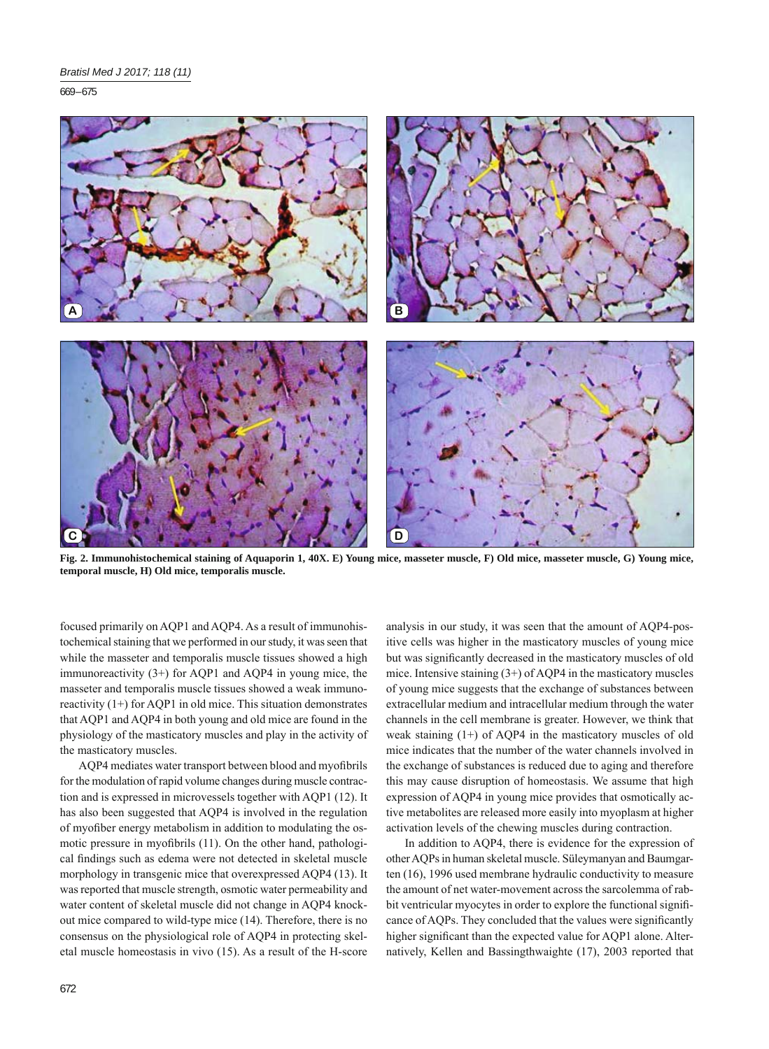669 – 675



**Fig. 2. Immunohistochemical staining of Aquaporin 1, 40X. E) Young mice, masseter muscle, F) Old mice, masseter muscle, G) Young mice, temporal muscle, H) Old mice, temporalis muscle.**

focused primarily on AQP1 and AQP4. As a result of immunohistochemical staining that we performed in our study, it was seen that while the masseter and temporalis muscle tissues showed a high immunoreactivity (3+) for AQP1 and AQP4 in young mice, the masseter and temporalis muscle tissues showed a weak immunoreactivity (1+) for AQP1 in old mice. This situation demonstrates that AQP1 and AQP4 in both young and old mice are found in the physiology of the masticatory muscles and play in the activity of the masticatory muscles.

AQP4 mediates water transport between blood and myofibrils for the modulation of rapid volume changes during muscle contraction and is expressed in microvessels together with AQP1 (12). It has also been suggested that AQP4 is involved in the regulation of myofiber energy metabolism in addition to modulating the osmotic pressure in myofibrils (11). On the other hand, pathological findings such as edema were not detected in skeletal muscle morphology in transgenic mice that overexpressed AQP4 (13). It was reported that muscle strength, osmotic water permeability and water content of skeletal muscle did not change in AQP4 knockout mice compared to wild-type mice (14). Therefore, there is no consensus on the physiological role of AQP4 in protecting skeletal muscle homeostasis in vivo (15). As a result of the H-score analysis in our study, it was seen that the amount of AQP4-positive cells was higher in the masticatory muscles of young mice but was significantly decreased in the masticatory muscles of old mice. Intensive staining (3+) of AQP4 in the masticatory muscles of young mice suggests that the exchange of substances between extracellular medium and intracellular medium through the water channels in the cell membrane is greater. However, we think that weak staining (1+) of AQP4 in the masticatory muscles of old mice indicates that the number of the water channels involved in the exchange of substances is reduced due to aging and therefore this may cause disruption of homeostasis. We assume that high expression of AQP4 in young mice provides that osmotically active metabolites are released more easily into myoplasm at higher activation levels of the chewing muscles during contraction.

In addition to AQP4, there is evidence for the expression of other AQPs in human skeletal muscle. Süleymanyan and Baumgarten (16), 1996 used membrane hydraulic conductivity to measure the amount of net water-movement across the sarcolemma of rabbit ventricular myocytes in order to explore the functional significance of AQPs. They concluded that the values were significantly higher significant than the expected value for AQP1 alone. Alternatively, Kellen and Bassingthwaighte (17), 2003 reported that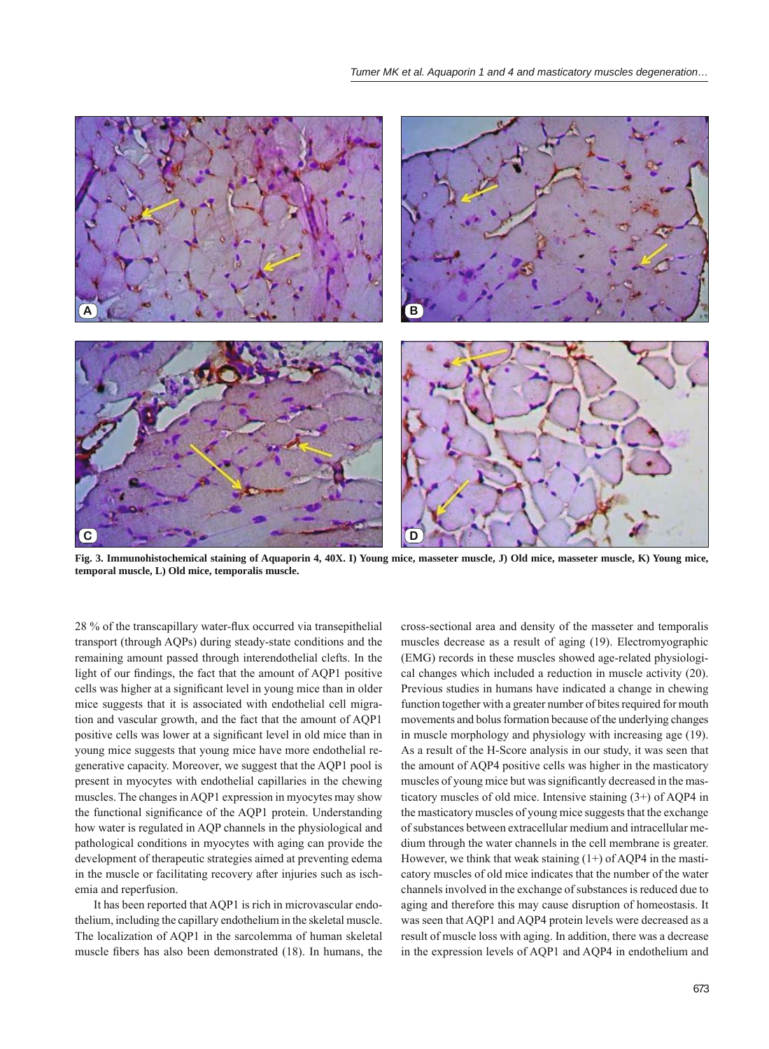

**Fig. 3. Immunohistochemical staining of Aquaporin 4, 40X. I) Young mice, masseter muscle, J) Old mice, masseter muscle, K) Young mice, temporal muscle, L) Old mice, temporalis muscle.**

28 % of the transcapillary water-flux occurred via transepithelial transport (through AQPs) during steady-state conditions and the remaining amount passed through interendothelial clefts. In the light of our findings, the fact that the amount of AQP1 positive cells was higher at a significant level in young mice than in older mice suggests that it is associated with endothelial cell migration and vascular growth, and the fact that the amount of AQP1 positive cells was lower at a significant level in old mice than in young mice suggests that young mice have more endothelial regenerative capacity. Moreover, we suggest that the AQP1 pool is present in myocytes with endothelial capillaries in the chewing muscles. The changes in AQP1 expression in myocytes may show the functional significance of the AQP1 protein. Understanding how water is regulated in AQP channels in the physiological and pathological conditions in myocytes with aging can provide the development of therapeutic strategies aimed at preventing edema in the muscle or facilitating recovery after injuries such as ischemia and reperfusion.

It has been reported that AQP1 is rich in microvascular endothelium, including the capillary endothelium in the skeletal muscle. The localization of AQP1 in the sarcolemma of human skeletal muscle fibers has also been demonstrated (18). In humans, the

cross-sectional area and density of the masseter and temporalis muscles decrease as a result of aging (19). Electromyographic (EMG) records in these muscles showed age-related physiological changes which included a reduction in muscle activity (20). Previous studies in humans have indicated a change in chewing function together with a greater number of bites required for mouth movements and bolus formation because of the underlying changes in muscle morphology and physiology with increasing age (19). As a result of the H-Score analysis in our study, it was seen that the amount of AQP4 positive cells was higher in the masticatory muscles of young mice but was significantly decreased in the masticatory muscles of old mice. Intensive staining (3+) of AQP4 in the masticatory muscles of young mice suggests that the exchange of substances between extracellular medium and intracellular medium through the water channels in the cell membrane is greater. However, we think that weak staining  $(1+)$  of AQP4 in the masticatory muscles of old mice indicates that the number of the water channels involved in the exchange of substances is reduced due to aging and therefore this may cause disruption of homeostasis. It was seen that AQP1 and AQP4 protein levels were decreased as a result of muscle loss with aging. In addition, there was a decrease in the expression levels of AQP1 and AQP4 in endothelium and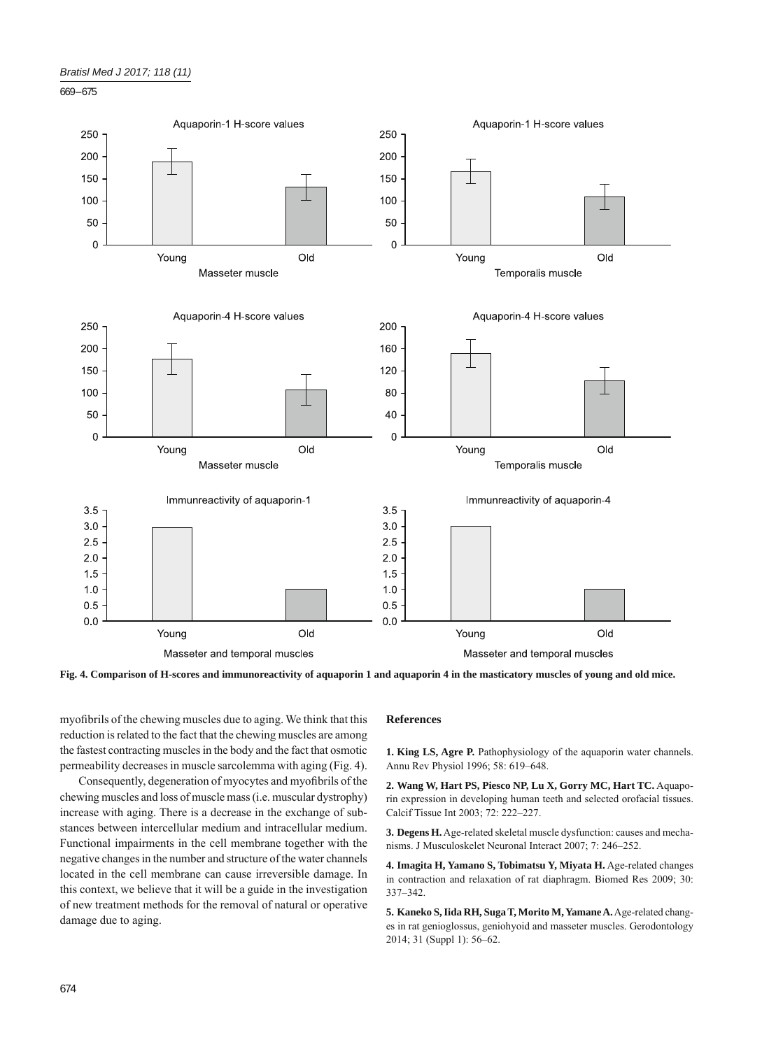



**Fig. 4. Comparison of H-scores and immunoreactivity of aquaporin 1 and aquaporin 4 in the masticatory muscles of young and old mice.**

myofibrils of the chewing muscles due to aging. We think that this reduction is related to the fact that the chewing muscles are among the fastest contracting muscles in the body and the fact that osmotic permeability decreases in muscle sarcolemma with aging (Fig. 4).

Consequently, degeneration of myocytes and myofibrils of the chewing muscles and loss of muscle mass (i.e. muscular dystrophy) increase with aging. There is a decrease in the exchange of substances between intercellular medium and intracellular medium. Functional impairments in the cell membrane together with the negative changes in the number and structure of the water channels located in the cell membrane can cause irreversible damage. In this context, we believe that it will be a guide in the investigation of new treatment methods for the removal of natural or operative damage due to aging.

## **References**

**1. King LS, Agre P.** Pathophysiology of the aquaporin water channels. Annu Rev Physiol 1996; 58: 619–648.

**2. Wang W, Hart PS, Piesco NP, Lu X, Gorry MC, Hart TC.** Aquaporin expression in developing human teeth and selected orofacial tissues. Calcif Tissue Int 2003; 72: 222–227.

**3. Degens H.** Age-related skeletal muscle dysfunction: causes and mechanisms. J Musculoskelet Neuronal Interact 2007; 7: 246–252.

**4. Imagita H, Yamano S, Tobimatsu Y, Miyata H.** Age-related changes in contraction and relaxation of rat diaphragm. Biomed Res 2009; 30: 337–342.

**5. Kaneko S, Iida RH, Suga T, Morito M, Yamane A.** Age-related changes in rat genioglossus, geniohyoid and masseter muscles. Gerodontology 2014; 31 (Suppl 1): 56–62.